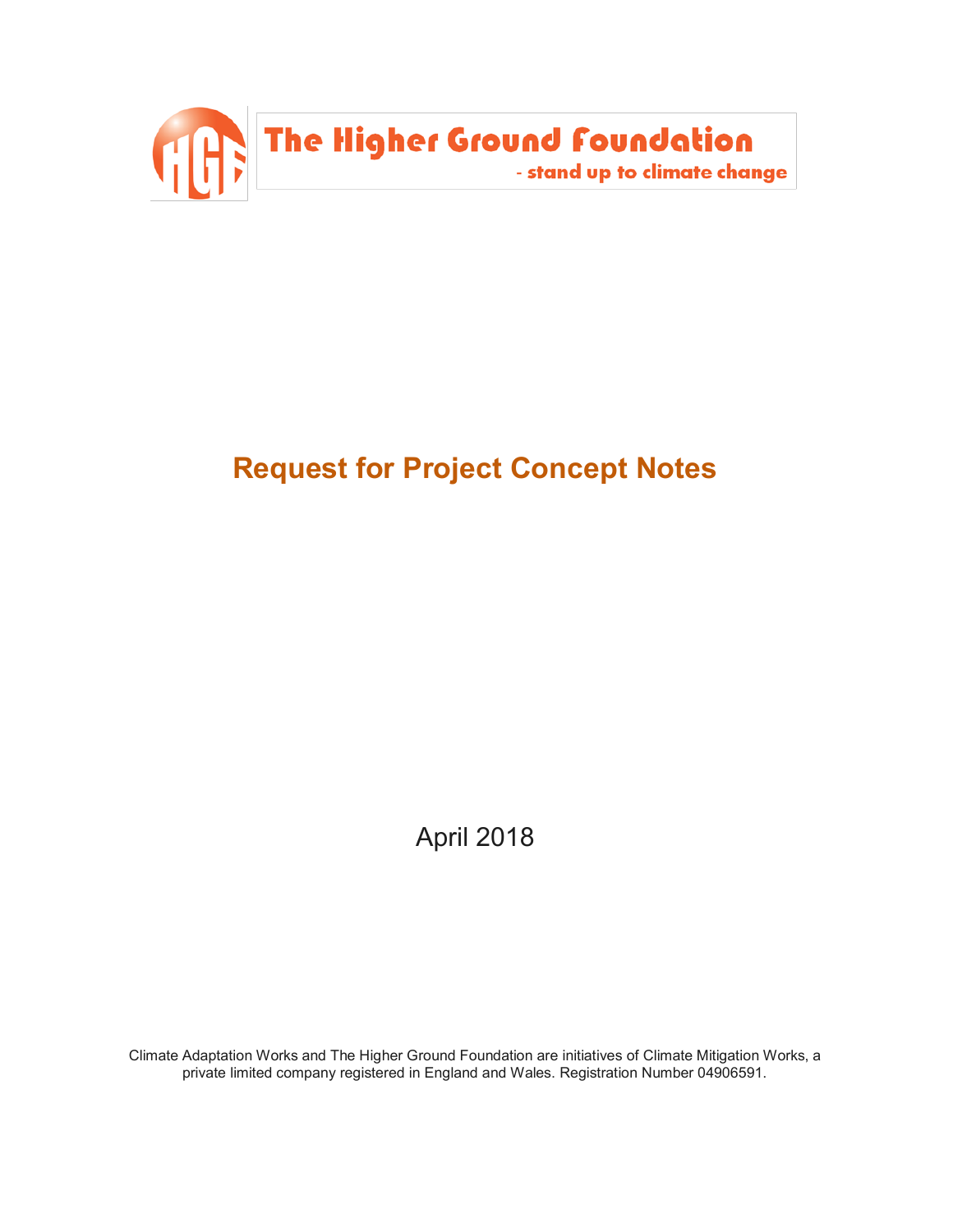

# **Request for Project Concept Notes**

April 2018

Climate Adaptation Works and The Higher Ground Foundation are initiatives of Climate Mitigation Works, a private limited company registered in England and Wales. Registration Number 04906591.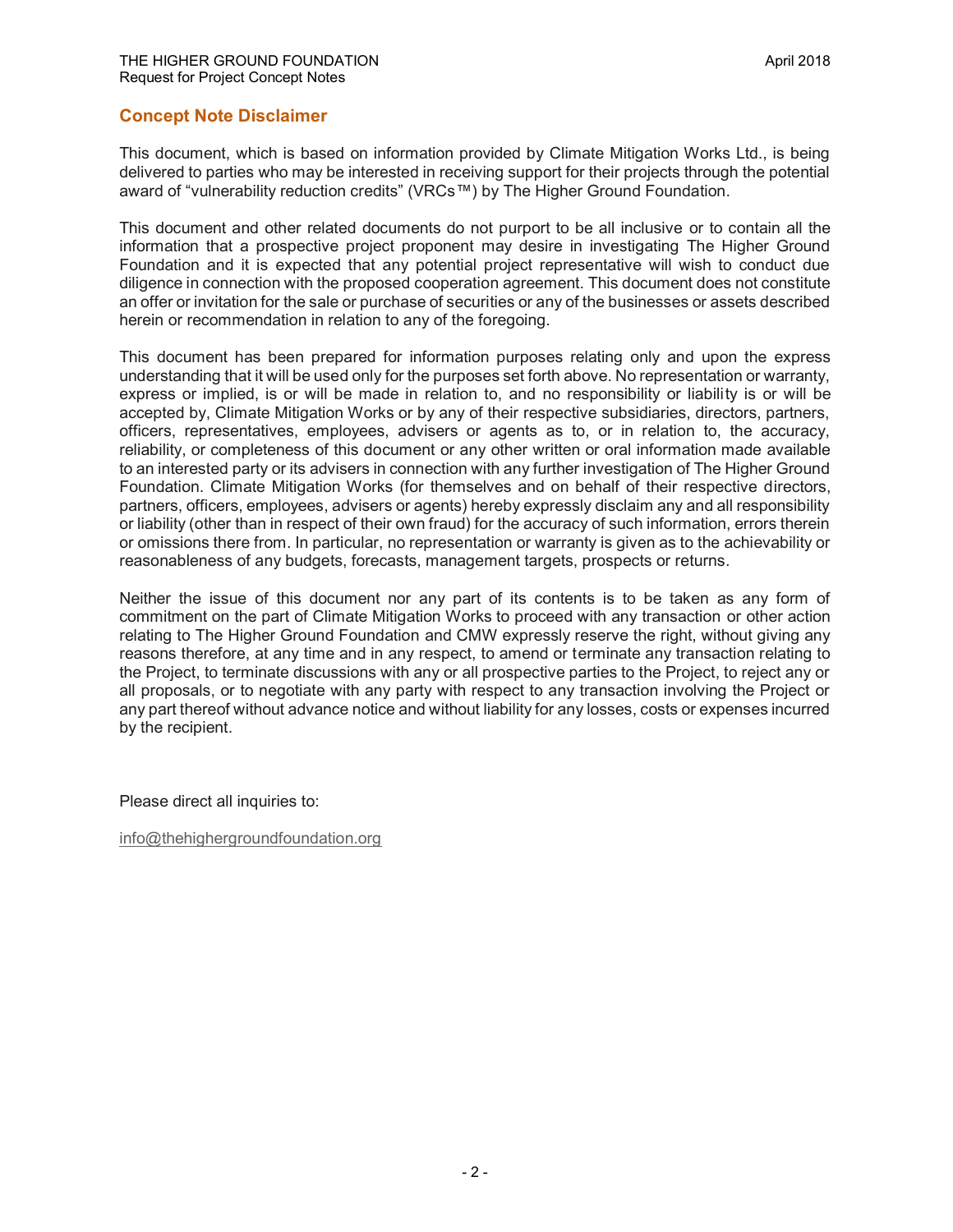#### **Concept Note Disclaimer**

This document, which is based on information provided by Climate Mitigation Works Ltd., is being delivered to parties who may be interested in receiving support for their projects through the potential award of "vulnerability reduction credits" (VRCs™) by The Higher Ground Foundation.

This document and other related documents do not purport to be all inclusive or to contain all the information that a prospective project proponent may desire in investigating The Higher Ground Foundation and it is expected that any potential project representative will wish to conduct due diligence in connection with the proposed cooperation agreement. This document does not constitute an offer or invitation for the sale or purchase of securities or any of the businesses or assets described herein or recommendation in relation to any of the foregoing.

This document has been prepared for information purposes relating only and upon the express understanding that it will be used only for the purposes set forth above. No representation or warranty, express or implied, is or will be made in relation to, and no responsibility or liability is or will be accepted by, Climate Mitigation Works or by any of their respective subsidiaries, directors, partners, officers, representatives, employees, advisers or agents as to, or in relation to, the accuracy, reliability, or completeness of this document or any other written or oral information made available to an interested party or its advisers in connection with any further investigation of The Higher Ground Foundation. Climate Mitigation Works (for themselves and on behalf of their respective directors, partners, officers, employees, advisers or agents) hereby expressly disclaim any and all responsibility or liability (other than in respect of their own fraud) for the accuracy of such information, errors therein or omissions there from. In particular, no representation or warranty is given as to the achievability or reasonableness of any budgets, forecasts, management targets, prospects or returns.

Neither the issue of this document nor any part of its contents is to be taken as any form of commitment on the part of Climate Mitigation Works to proceed with any transaction or other action relating to The Higher Ground Foundation and CMW expressly reserve the right, without giving any reasons therefore, at any time and in any respect, to amend or terminate any transaction relating to the Project, to terminate discussions with any or all prospective parties to the Project, to reject any or all proposals, or to negotiate with any party with respect to any transaction involving the Project or any part thereof without advance notice and without liability for any losses, costs or expenses incurred by the recipient.

Please direct all inquiries to:

info@thehighergroundfoundation.org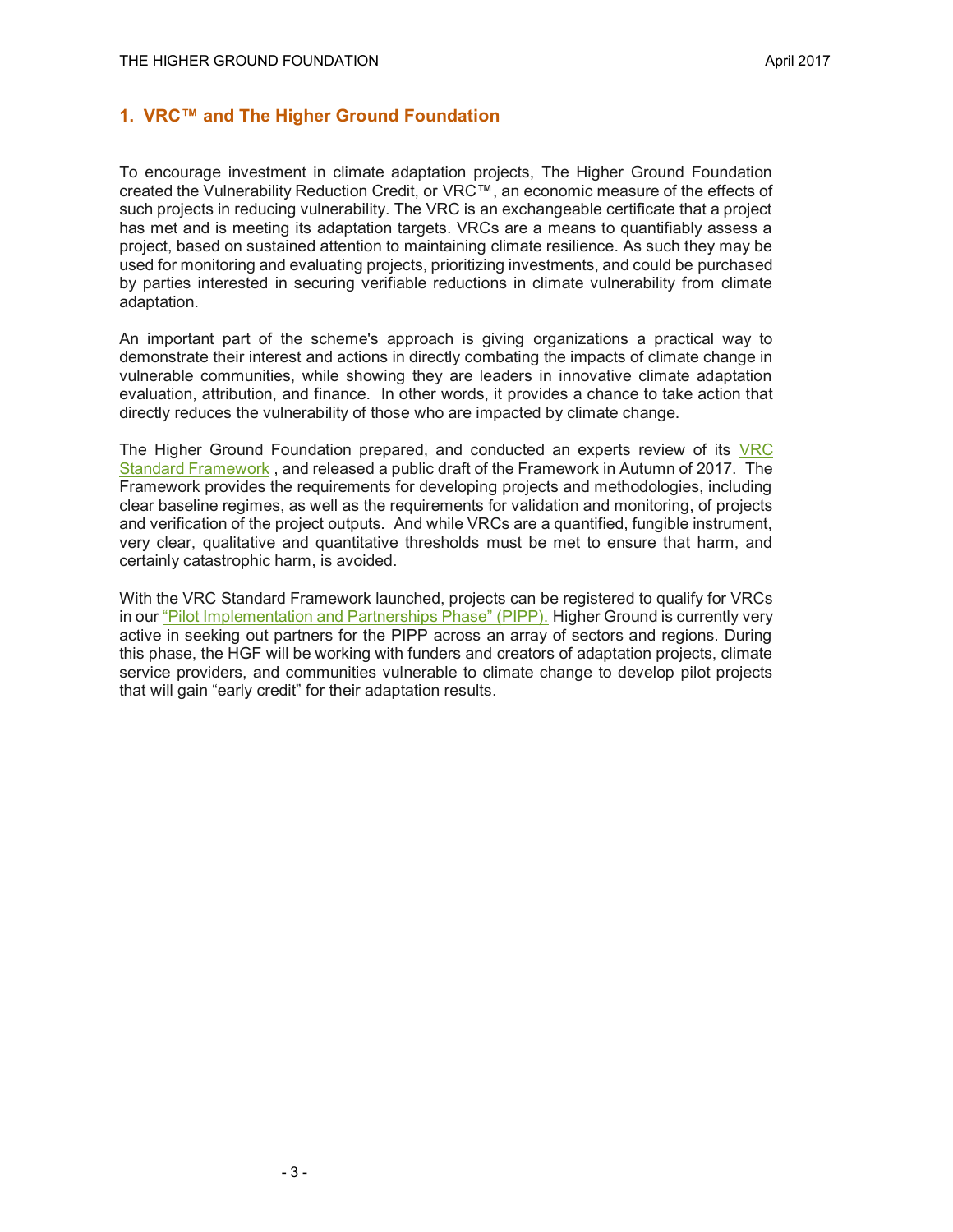## **1. VRC™ and The Higher Ground Foundation**

To encourage investment in climate adaptation projects, The Higher Ground Foundation created the Vulnerability Reduction Credit, or VRC™, an economic measure of the effects of such projects in reducing vulnerability. The VRC is an exchangeable certificate that a project has met and is meeting its adaptation targets. VRCs are a means to quantifiably assess a project, based on sustained attention to maintaining climate resilience. As such they may be used for monitoring and evaluating projects, prioritizing investments, and could be purchased by parties interested in securing verifiable reductions in climate vulnerability from climate adaptation.

An important part of the scheme's approach is giving organizations a practical way to demonstrate their interest and actions in directly combating the impacts of climate change in vulnerable communities, while showing they are leaders in innovative climate adaptation evaluation, attribution, and finance. In other words, it provides a chance to take action that directly reduces the vulnerability of those who are impacted by climate change.

The Higher Ground Foundation prepared, and conducted an experts review of its VRC Standard Framework , and released a public draft of the Framework in Autumn of 2017. The Framework provides the requirements for developing projects and methodologies, including clear baseline regimes, as well as the requirements for validation and monitoring, of projects and verification of the project outputs. And while VRCs are a quantified, fungible instrument, very clear, qualitative and quantitative thresholds must be met to ensure that harm, and certainly catastrophic harm, is avoided.

With the VRC Standard Framework launched, projects can be registered to qualify for VRCs in our "Pilot Implementation and Partnerships Phase" (PIPP). Higher Ground is currently very active in seeking out partners for the PIPP across an array of sectors and regions. During this phase, the HGF will be working with funders and creators of adaptation projects, climate service providers, and communities vulnerable to climate change to develop pilot projects that will gain "early credit" for their adaptation results.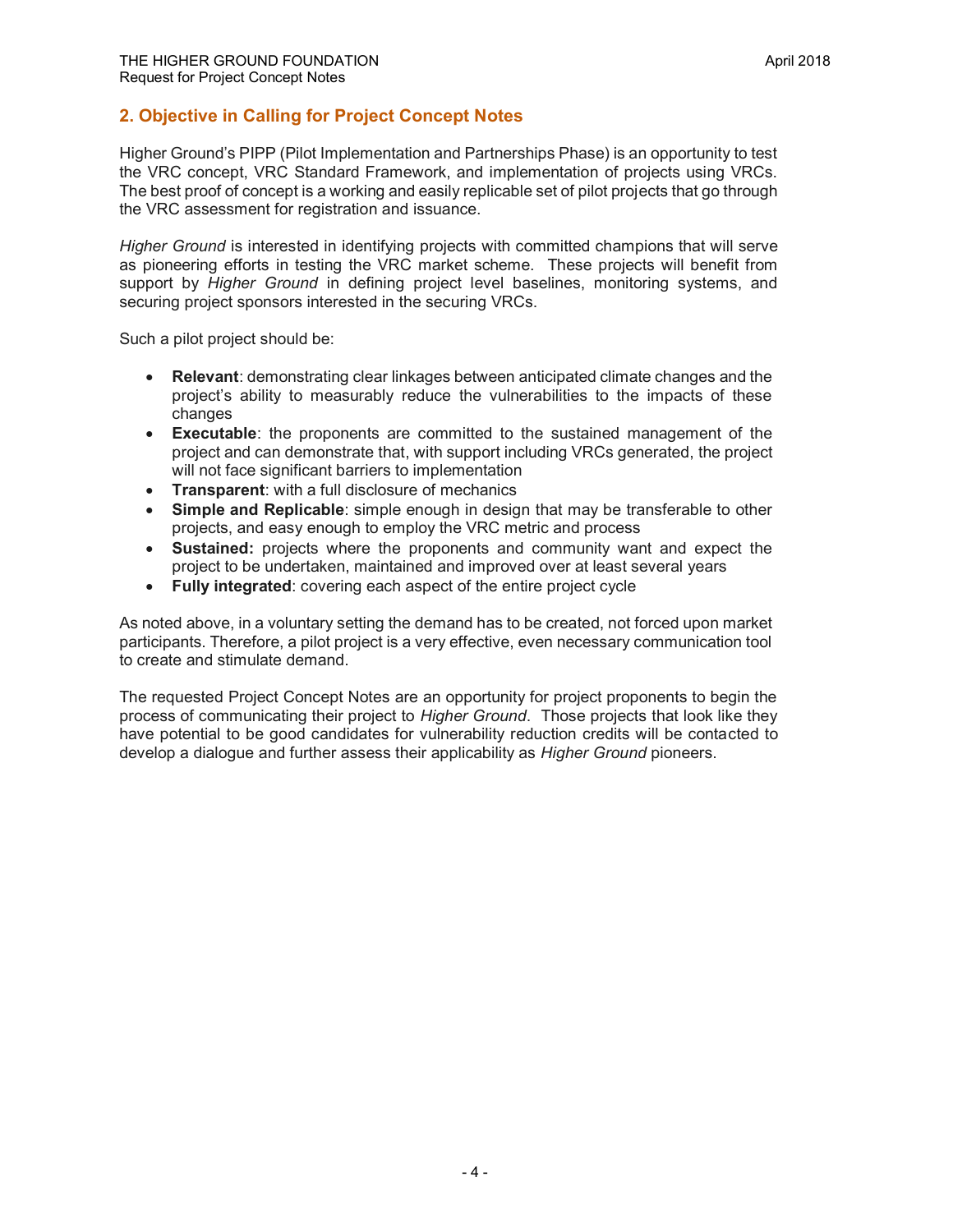# **2. Objective in Calling for Project Concept Notes**

Higher Ground's PIPP (Pilot Implementation and Partnerships Phase) is an opportunity to test the VRC concept, VRC Standard Framework, and implementation of projects using VRCs. The best proof of concept is a working and easily replicable set of pilot projects that go through the VRC assessment for registration and issuance.

*Higher Ground* is interested in identifying projects with committed champions that will serve as pioneering efforts in testing the VRC market scheme. These projects will benefit from support by *Higher Ground* in defining project level baselines, monitoring systems, and securing project sponsors interested in the securing VRCs.

Such a pilot project should be:

- **Relevant**: demonstrating clear linkages between anticipated climate changes and the project's ability to measurably reduce the vulnerabilities to the impacts of these changes
- **Executable**: the proponents are committed to the sustained management of the project and can demonstrate that, with support including VRCs generated, the project will not face significant barriers to implementation
- **Transparent**: with a full disclosure of mechanics
- **Simple and Replicable**: simple enough in design that may be transferable to other projects, and easy enough to employ the VRC metric and process
- **Sustained:** projects where the proponents and community want and expect the project to be undertaken, maintained and improved over at least several years
- **Fully integrated**: covering each aspect of the entire project cycle

As noted above, in a voluntary setting the demand has to be created, not forced upon market participants. Therefore, a pilot project is a very effective, even necessary communication tool to create and stimulate demand.

The requested Project Concept Notes are an opportunity for project proponents to begin the process of communicating their project to *Higher Ground*. Those projects that look like they have potential to be good candidates for vulnerability reduction credits will be contacted to develop a dialogue and further assess their applicability as *Higher Ground* pioneers.